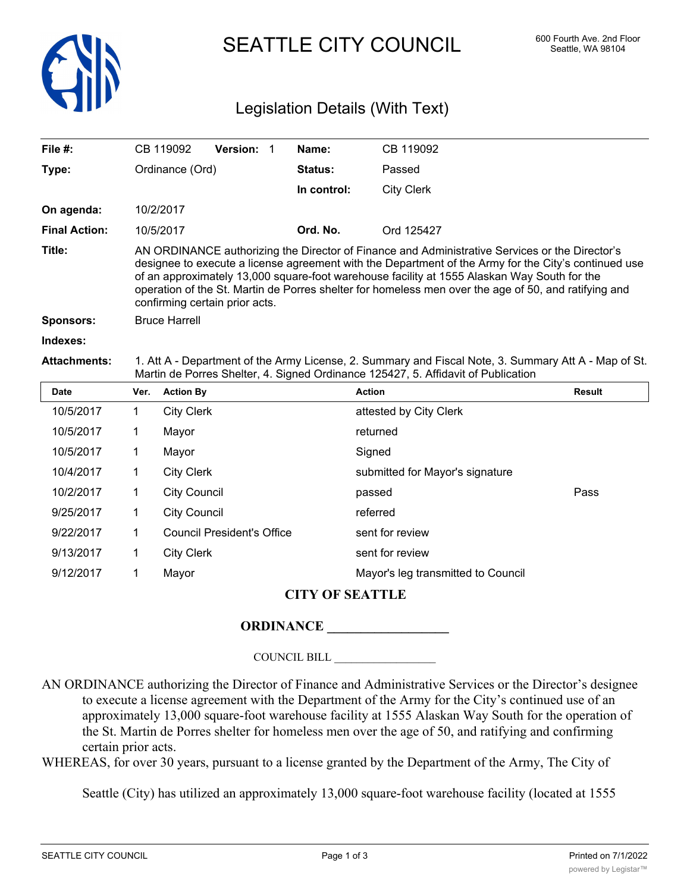

SEATTLE CITY COUNCIL 600 Fourth Ave. 2nd Floor

# Legislation Details (With Text)

| File $#$ :           |                                                                                                                                                                                                                                                                                                                                                                                                                                                 | CB 119092           | Version: |  | Name:       | CB 119092                       |               |
|----------------------|-------------------------------------------------------------------------------------------------------------------------------------------------------------------------------------------------------------------------------------------------------------------------------------------------------------------------------------------------------------------------------------------------------------------------------------------------|---------------------|----------|--|-------------|---------------------------------|---------------|
| Type:                |                                                                                                                                                                                                                                                                                                                                                                                                                                                 | Ordinance (Ord)     |          |  | Status:     | Passed                          |               |
|                      |                                                                                                                                                                                                                                                                                                                                                                                                                                                 |                     |          |  | In control: | <b>City Clerk</b>               |               |
| On agenda:           |                                                                                                                                                                                                                                                                                                                                                                                                                                                 | 10/2/2017           |          |  |             |                                 |               |
| <b>Final Action:</b> |                                                                                                                                                                                                                                                                                                                                                                                                                                                 | 10/5/2017           |          |  | Ord. No.    | Ord 125427                      |               |
| Title:               | AN ORDINANCE authorizing the Director of Finance and Administrative Services or the Director's<br>designee to execute a license agreement with the Department of the Army for the City's continued use<br>of an approximately 13,000 square-foot warehouse facility at 1555 Alaskan Way South for the<br>operation of the St. Martin de Porres shelter for homeless men over the age of 50, and ratifying and<br>confirming certain prior acts. |                     |          |  |             |                                 |               |
| <b>Sponsors:</b>     | <b>Bruce Harrell</b>                                                                                                                                                                                                                                                                                                                                                                                                                            |                     |          |  |             |                                 |               |
| Indexes:             |                                                                                                                                                                                                                                                                                                                                                                                                                                                 |                     |          |  |             |                                 |               |
| <b>Attachments:</b>  | 1. Att A - Department of the Army License, 2. Summary and Fiscal Note, 3. Summary Att A - Map of St.<br>Martin de Porres Shelter, 4. Signed Ordinance 125427, 5. Affidavit of Publication                                                                                                                                                                                                                                                       |                     |          |  |             |                                 |               |
| Date                 | Ver.                                                                                                                                                                                                                                                                                                                                                                                                                                            | <b>Action By</b>    |          |  |             | <b>Action</b>                   | <b>Result</b> |
| 10/5/2017            | 1.                                                                                                                                                                                                                                                                                                                                                                                                                                              | <b>City Clerk</b>   |          |  |             | attested by City Clerk          |               |
| 10/5/2017            | 1                                                                                                                                                                                                                                                                                                                                                                                                                                               | Mayor               |          |  |             | returned                        |               |
| 10/5/2017            | 1                                                                                                                                                                                                                                                                                                                                                                                                                                               | Mayor               |          |  |             | Signed                          |               |
| 10/4/2017            | 1                                                                                                                                                                                                                                                                                                                                                                                                                                               | <b>City Clerk</b>   |          |  |             | submitted for Mayor's signature |               |
| 10/2/2017            | 1                                                                                                                                                                                                                                                                                                                                                                                                                                               | <b>City Council</b> |          |  |             | passed                          | Pass          |

| 10/2/2017 | <b>City Council</b>        | passed                             | Pass |
|-----------|----------------------------|------------------------------------|------|
| 9/25/2017 | City Council               | referred                           |      |
| 9/22/2017 | Council President's Office | sent for review                    |      |
| 9/13/2017 | City Clerk                 | sent for review                    |      |
| 9/12/2017 | Mavor                      | Mayor's leg transmitted to Council |      |
|           |                            |                                    |      |

## **CITY OF SEATTLE**

### **ORDINANCE \_\_\_\_\_\_\_\_\_\_\_\_\_\_\_\_\_\_**

COUNCIL BILL \_\_\_\_\_\_\_\_\_\_\_\_\_\_\_\_\_\_

AN ORDINANCE authorizing the Director of Finance and Administrative Services or the Director's designee to execute a license agreement with the Department of the Army for the City's continued use of an approximately 13,000 square-foot warehouse facility at 1555 Alaskan Way South for the operation of the St. Martin de Porres shelter for homeless men over the age of 50, and ratifying and confirming certain prior acts.

WHEREAS, for over 30 years, pursuant to a license granted by the Department of the Army, The City of

Seattle (City) has utilized an approximately 13,000 square-foot warehouse facility (located at 1555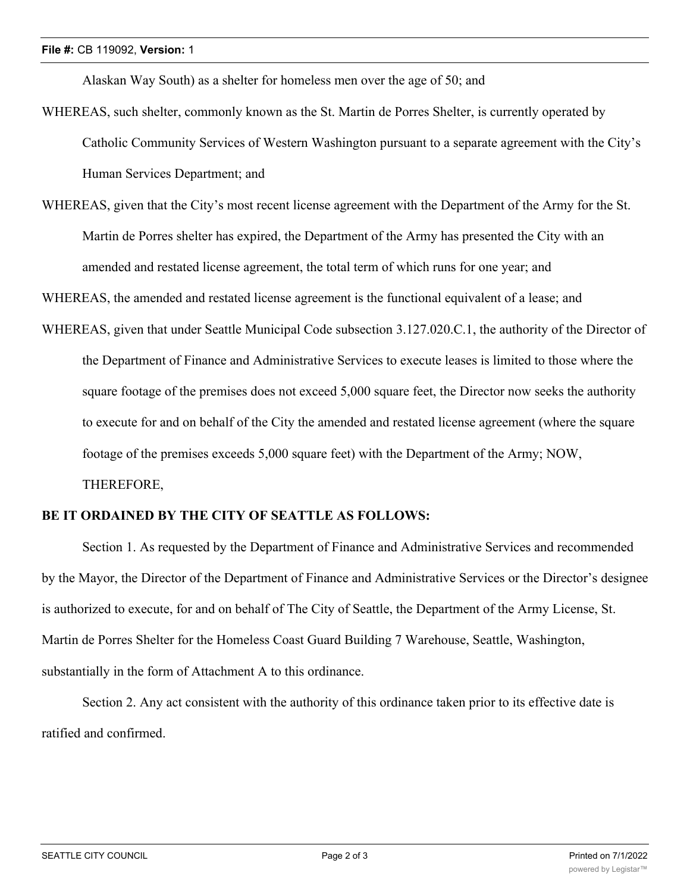Alaskan Way South) as a shelter for homeless men over the age of 50; and

- WHEREAS, such shelter, commonly known as the St. Martin de Porres Shelter, is currently operated by Catholic Community Services of Western Washington pursuant to a separate agreement with the City's Human Services Department; and
- WHEREAS, given that the City's most recent license agreement with the Department of the Army for the St. Martin de Porres shelter has expired, the Department of the Army has presented the City with an amended and restated license agreement, the total term of which runs for one year; and

WHEREAS, the amended and restated license agreement is the functional equivalent of a lease; and

WHEREAS, given that under Seattle Municipal Code subsection 3.127.020.C.1, the authority of the Director of the Department of Finance and Administrative Services to execute leases is limited to those where the square footage of the premises does not exceed 5,000 square feet, the Director now seeks the authority to execute for and on behalf of the City the amended and restated license agreement (where the square footage of the premises exceeds 5,000 square feet) with the Department of the Army; NOW, THEREFORE,

#### **BE IT ORDAINED BY THE CITY OF SEATTLE AS FOLLOWS:**

Section 1. As requested by the Department of Finance and Administrative Services and recommended by the Mayor, the Director of the Department of Finance and Administrative Services or the Director's designee is authorized to execute, for and on behalf of The City of Seattle, the Department of the Army License, St. Martin de Porres Shelter for the Homeless Coast Guard Building 7 Warehouse, Seattle, Washington, substantially in the form of Attachment A to this ordinance.

Section 2. Any act consistent with the authority of this ordinance taken prior to its effective date is ratified and confirmed.